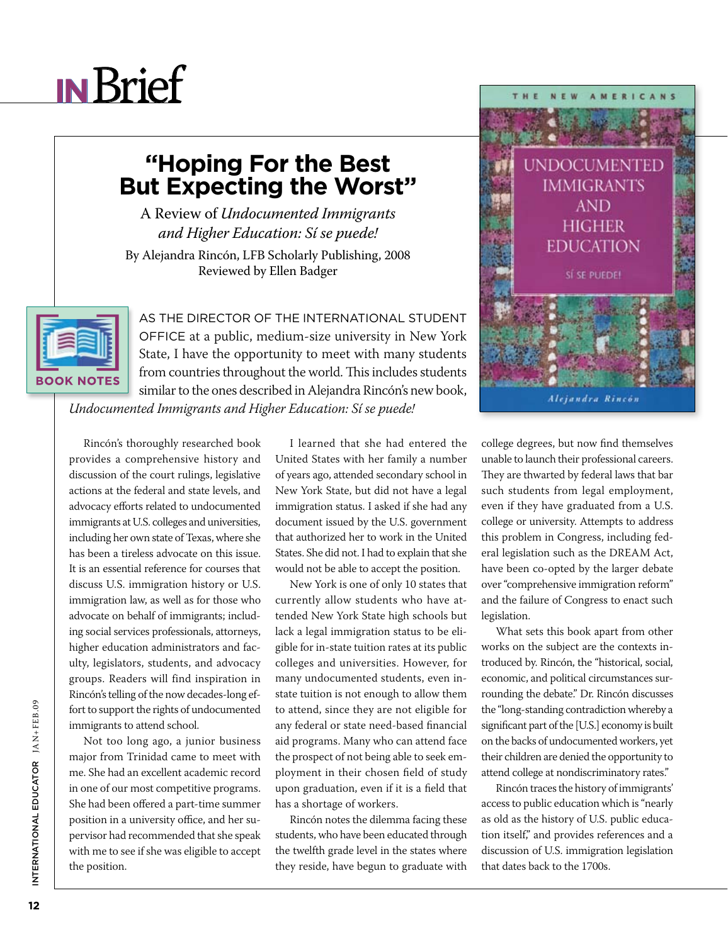## **IN**Brief

## **"Hoping For the Best But Expecting the Worst"**

A Review of *Undocumented Immigrants and Higher Education: Sí se puede!* 

By Alejandra Rincón, LFB Scholarly Publishing, 2008 Reviewed by Ellen Badger

**BOOK NOTES** 

As the director of the International Student OFFICE at a public, medium-size university in New York State, I have the opportunity to meet with many students from countries throughout the world. This includes students similar to the ones described in Alejandra Rincón's new book,

*Undocumented Immigrants and Higher Education: Sí se puede!*

Rincón's thoroughly researched book provides a comprehensive history and discussion of the court rulings, legislative actions at the federal and state levels, and advocacy efforts related to undocumented immigrants at U.S. colleges and universities, including her own state of Texas, where she has been a tireless advocate on this issue. It is an essential reference for courses that discuss U.S. immigration history or U.S. immigration law, as well as for those who advocate on behalf of immigrants; including social services professionals, attorneys, higher education administrators and faculty, legislators, students, and advocacy groups. Readers will find inspiration in Rincón's telling of the now decades-long effort to support the rights of undocumented immigrants to attend school.

Not too long ago, a junior business major from Trinidad came to meet with me. She had an excellent academic record in one of our most competitive programs. She had been offered a part-time summer position in a university office, and her supervisor had recommended that she speak with me to see if she was eligible to accept the position.

I learned that she had entered the United States with her family a number of years ago, attended secondary school in New York State, but did not have a legal immigration status. I asked if she had any document issued by the U.S. government that authorized her to work in the United States. She did not. I had to explain that she would not be able to accept the position.

New York is one of only 10 states that currently allow students who have attended New York State high schools but lack a legal immigration status to be eligible for in-state tuition rates at its public colleges and universities. However, for many undocumented students, even instate tuition is not enough to allow them to attend, since they are not eligible for any federal or state need-based financial aid programs. Many who can attend face the prospect of not being able to seek employment in their chosen field of study upon graduation, even if it is a field that has a shortage of workers.

Rincón notes the dilemma facing these students, who have been educated through the twelfth grade level in the states where they reside, have begun to graduate with



college degrees, but now find themselves unable to launch their professional careers. They are thwarted by federal laws that bar such students from legal employment, even if they have graduated from a U.S. college or university. Attempts to address this problem in Congress, including federal legislation such as the DREAM Act, have been co-opted by the larger debate over "comprehensive immigration reform" and the failure of Congress to enact such legislation.

What sets this book apart from other works on the subject are the contexts introduced by. Rincón, the "historical, social, economic, and political circumstances surrounding the debate." Dr. Rincón discusses the "long-standing contradiction whereby a significant part of the [U.S.] economy is built on the backs of undocumented workers, yet their children are denied the opportunity to attend college at nondiscriminatory rates."

Rincón traces the history of immigrants' access to public education which is "nearly as old as the history of U.S. public education itself," and provides references and a discussion of U.S. immigration legislation that dates back to the 1700s.